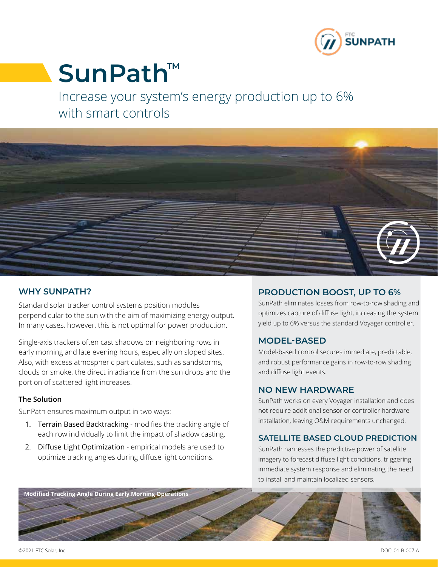

# SunPath<sup>™</sup>

Increase your system's energy production up to 6% with smart controls



# **WHY SUNPATH?**

Standard solar tracker control systems position modules perpendicular to the sun with the aim of maximizing energy output. In many cases, however, this is not optimal for power production.

Single-axis trackers often cast shadows on neighboring rows in early morning and late evening hours, especially on sloped sites. Also, with excess atmospheric particulates, such as sandstorms, clouds or smoke, the direct irradiance from the sun drops and the portion of scattered light increases.

#### **The Solution**

SunPath ensures maximum output in two ways:

- 1. Terrain Based Backtracking modifies the tracking angle of each row individually to limit the impact of shadow casting.
- 2. Diffuse Light Optimization empirical models are used to optimize tracking angles during diffuse light conditions.

# **PRODUCTION BOOST, UP TO 6%**

SunPath eliminates losses from row-to-row shading and optimizes capture of diffuse light, increasing the system yield up to 6% versus the standard Voyager controller.

# **MODEL-BASED**

Model-based control secures immediate, predictable, and robust performance gains in row-to-row shading and diffuse light events.

#### **NO NEW HARDWARE**

SunPath works on every Voyager installation and does not require additional sensor or controller hardware installation, leaving O&M requirements unchanged.

### **SATELLITE BASED CLOUD PREDICTION**

SunPath harnesses the predictive power of satellite imagery to forecast diffuse light conditions, triggering immediate system response and eliminating the need to install and maintain localized sensors.



©2021 FTC Solar, Inc. DOC: 01-B-007-A